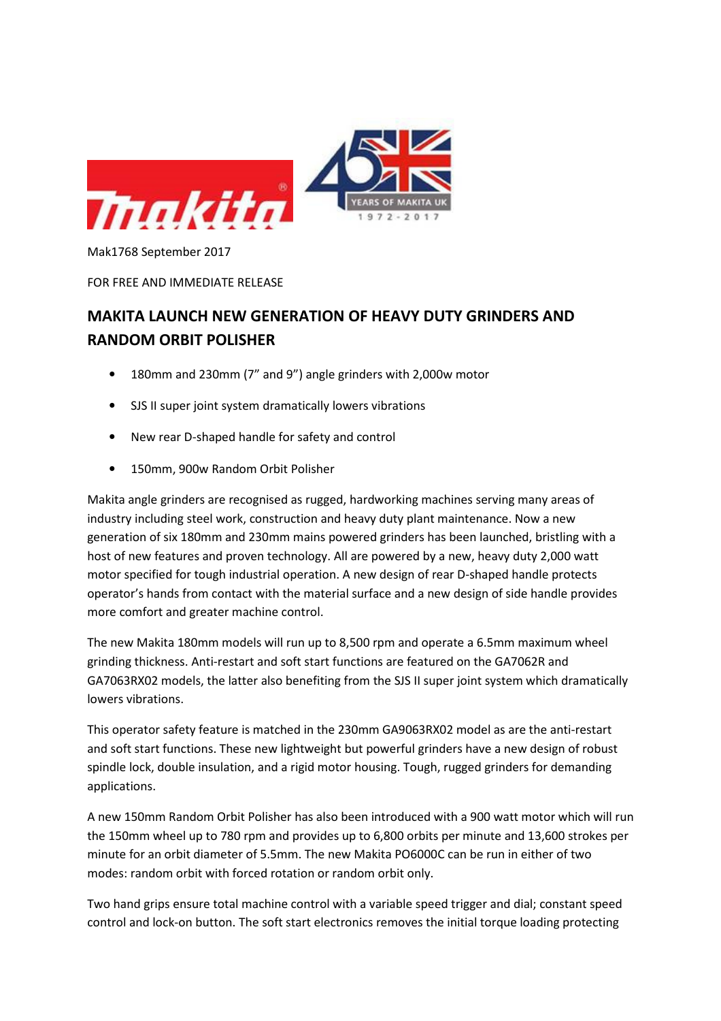

FOR FREE AND IMMEDIATE RELEASE

## MAKITA LAUNCH NEW GENERATION OF HEAVY DUTY GRINDERS AND RANDOM ORBIT POLISHER

- 180mm and 230mm (7" and 9") angle grinders with 2,000w motor
- SJS II super joint system dramatically lowers vibrations
- New rear D-shaped handle for safety and control
- 150mm, 900w Random Orbit Polisher

Makita angle grinders are recognised as rugged, hardworking machines serving many areas of industry including steel work, construction and heavy duty plant maintenance. Now a new generation of six 180mm and 230mm mains powered grinders has been launched, bristling with a host of new features and proven technology. All are powered by a new, heavy duty 2,000 watt motor specified for tough industrial operation. A new design of rear D-shaped handle protects operator's hands from contact with the material surface and a new design of side handle provides more comfort and greater machine control.

The new Makita 180mm models will run up to 8,500 rpm and operate a 6.5mm maximum wheel grinding thickness. Anti-restart and soft start functions are featured on the GA7062R and GA7063RX02 models, the latter also benefiting from the SJS II super joint system which dramatically lowers vibrations.

This operator safety feature is matched in the 230mm GA9063RX02 model as are the anti-restart and soft start functions. These new lightweight but powerful grinders have a new design of robust spindle lock, double insulation, and a rigid motor housing. Tough, rugged grinders for demanding applications.

A new 150mm Random Orbit Polisher has also been introduced with a 900 watt motor which will run the 150mm wheel up to 780 rpm and provides up to 6,800 orbits per minute and 13,600 strokes per minute for an orbit diameter of 5.5mm. The new Makita PO6000C can be run in either of two modes: random orbit with forced rotation or random orbit only.

Two hand grips ensure total machine control with a variable speed trigger and dial; constant speed control and lock-on button. The soft start electronics removes the initial torque loading protecting